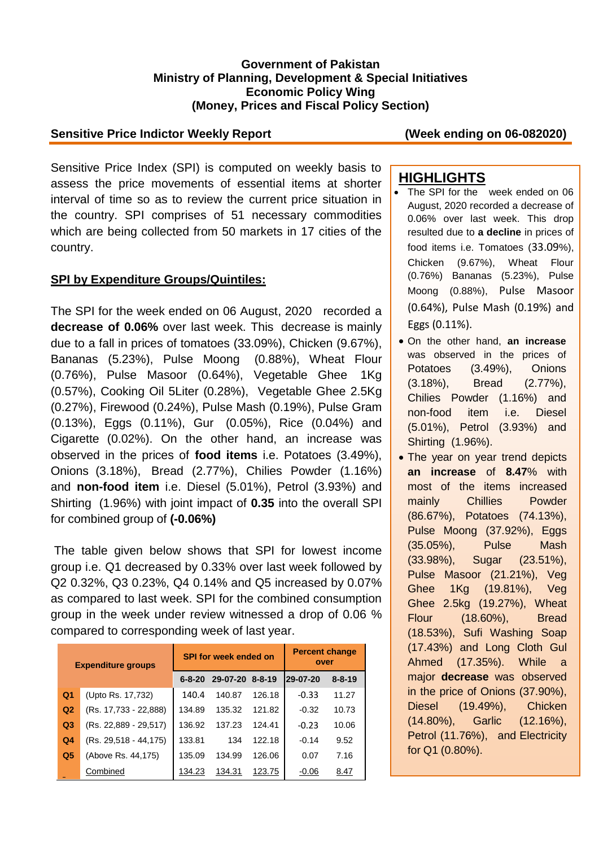#### **Government of Pakistan Ministry of Planning, Development & Special Initiatives Economic Policy Wing (Money, Prices and Fiscal Policy Section)**

#### **Sensitive Price Indictor Weekly Report (Week ending on 06-082020)**

Sensitive Price Index (SPI) is computed on weekly basis to assess the price movements of essential items at shorter interval of time so as to review the current price situation in the country. SPI comprises of 51 necessary commodities which are being collected from 50 markets in 17 cities of the country.

#### **SPI by Expenditure Groups/Quintiles:**

The SPI for the week ended on 06 August, 2020 recorded a **decrease of 0.06%** over last week. This decrease is mainly due to a fall in prices of tomatoes (33.09%), Chicken (9.67%), Bananas (5.23%), Pulse Moong (0.88%), Wheat Flour (0.76%), Pulse Masoor (0.64%), Vegetable Ghee 1Kg (0.57%), Cooking Oil 5Liter (0.28%), Vegetable Ghee 2.5Kg (0.27%), Firewood (0.24%), Pulse Mash (0.19%), Pulse Gram (0.13%), Eggs (0.11%), Gur (0.05%), Rice (0.04%) and Cigarette (0.02%). On the other hand, an increase was observed in the prices of **food items** i.e. Potatoes (3.49%), Onions (3.18%), Bread (2.77%), Chilies Powder (1.16%) and **non-food item** i.e. Diesel (5.01%), Petrol (3.93%) and Shirting (1.96%) with joint impact of **0.35** into the overall SPI for combined group of **(-0.06%)**

The table given below shows that SPI for lowest income group i.e. Q1 decreased by 0.33% over last week followed by Q2 0.32%, Q3 0.23%, Q4 0.14% and Q5 increased by 0.07% as compared to last week. SPI for the combined consumption group in the week under review witnessed a drop of 0.06 % compared to corresponding week of last year.

| <b>Expenditure groups</b> |                       |              | <b>SPI for week ended on</b> | <b>Percent change</b><br>over |          |              |
|---------------------------|-----------------------|--------------|------------------------------|-------------------------------|----------|--------------|
|                           |                       | $6 - 8 - 20$ | 29-07-20                     | 8-8-19                        | 29-07-20 | $8 - 8 - 19$ |
| Q <sub>1</sub>            | (Upto Rs. 17,732)     | 140.4        | 140.87                       | 126.18                        | $-0.33$  | 11.27        |
| Q2                        | (Rs. 17,733 - 22,888) | 134.89       | 135.32                       | 121.82                        | $-0.32$  | 10.73        |
| Q <sub>3</sub>            | (Rs. 22,889 - 29,517) | 136.92       | 137.23                       | 124.41                        | $-0.23$  | 10.06        |
| Q <sub>4</sub>            | (Rs. 29,518 - 44,175) | 133.81       | 134                          | 122.18                        | $-0.14$  | 9.52         |
| Q <sub>5</sub>            | (Above Rs. 44,175)    | 135.09       | 134.99                       | 126.06                        | 0.07     | 7.16         |
|                           | Combined              | 134.23       | 134.31                       | 123.75                        | $-0.06$  | 8.47         |

# **HIGHLIGHTS**

- The SPI for the week ended on 06 August, 2020 recorded a decrease of 0.06% over last week. This drop resulted due to **a decline** in prices of food items i.e. Tomatoes (33.09%), Chicken (9.67%), Wheat Flour (0.76%) Bananas (5.23%), Pulse Moong (0.88%), Pulse Masoor (0.64%), Pulse Mash (0.19%) and Eggs (0.11%).
- On the other hand, **an increase** was observed in the prices of Potatoes (3.49%), Onions (3.18%), Bread (2.77%), Chilies Powder (1.16%) and non-food item i.e. Diesel (5.01%), Petrol (3.93%) and Shirting (1.96%).
- The year on year trend depicts **an increase** of **8.47**% with most of the items increased mainly Chillies Powder (86.67%), Potatoes (74.13%), Pulse Moong (37.92%), Eggs (35.05%), Pulse Mash (33.98%), Sugar (23.51%), Pulse Masoor (21.21%), Veg Ghee 1Kg (19.81%), Veg Ghee 2.5kg (19.27%), Wheat Flour (18.60%), Bread (18.53%), Sufi Washing Soap (17.43%) and Long Cloth Gul Ahmed (17.35%). While a major **decrease** was observed in the price of Onions (37.90%), Diesel (19.49%), Chicken (14.80%), Garlic (12.16%), Petrol (11.76%), and Electricity for Q1 (0.80%).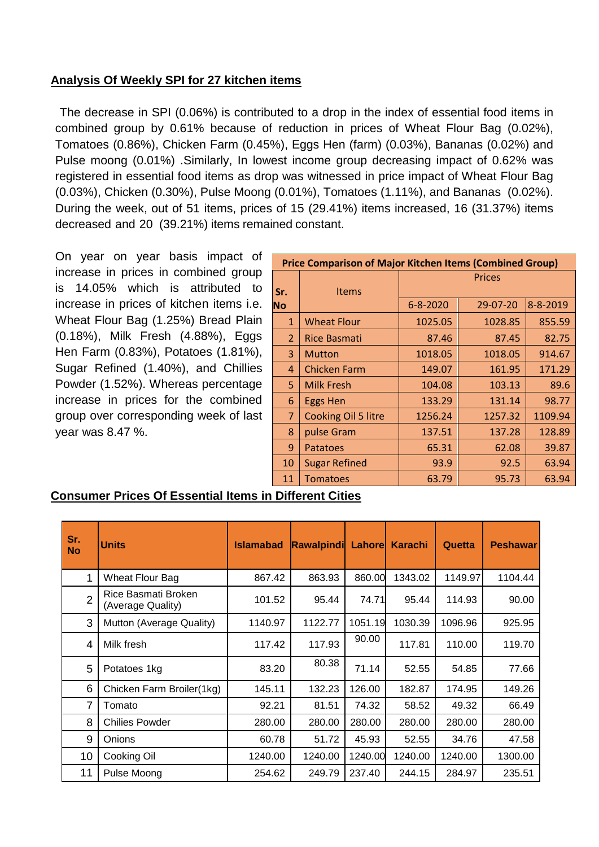#### **Analysis Of Weekly SPI for 27 kitchen items**

The decrease in SPI (0.06%) is contributed to a drop in the index of essential food items in combined group by 0.61% because of reduction in prices of Wheat Flour Bag (0.02%), Tomatoes (0.86%), Chicken Farm (0.45%), Eggs Hen (farm) (0.03%), Bananas (0.02%) and Pulse moong (0.01%) .Similarly, In lowest income group decreasing impact of 0.62% was registered in essential food items as drop was witnessed in price impact of Wheat Flour Bag (0.03%), Chicken (0.30%), Pulse Moong (0.01%), Tomatoes (1.11%), and Bananas (0.02%). During the week, out of 51 items, prices of 15 (29.41%) items increased, 16 (31.37%) items decreased and 20 (39.21%) items remained constant.

On year on year basis impact of increase in prices in combined group is 14.05% which is attributed to increase in prices of kitchen items i.e. Wheat Flour Bag (1.25%) Bread Plain (0.18%), Milk Fresh (4.88%), Eggs Hen Farm (0.83%), Potatoes (1.81%), Sugar Refined (1.40%), and Chillies Powder (1.52%). Whereas percentage increase in prices for the combined group over corresponding week of last year was 8.47 %.

| <b>Price Comparison of Major Kitchen Items (Combined Group)</b> |                      |                |          |          |  |  |  |
|-----------------------------------------------------------------|----------------------|----------------|----------|----------|--|--|--|
|                                                                 |                      | <b>Prices</b>  |          |          |  |  |  |
| Sr.                                                             | <b>Items</b>         |                |          |          |  |  |  |
| <b>No</b>                                                       |                      | $6 - 8 - 2020$ | 29-07-20 | 8-8-2019 |  |  |  |
| 1                                                               | <b>Wheat Flour</b>   | 1025.05        | 1028.85  | 855.59   |  |  |  |
| $\overline{2}$                                                  | <b>Rice Basmati</b>  | 87.46          | 87.45    | 82.75    |  |  |  |
| 3                                                               | <b>Mutton</b>        | 1018.05        | 1018.05  | 914.67   |  |  |  |
| 4                                                               | <b>Chicken Farm</b>  | 149.07         | 161.95   | 171.29   |  |  |  |
| 5.                                                              | <b>Milk Fresh</b>    | 104.08         | 103.13   | 89.6     |  |  |  |
| 6                                                               | <b>Eggs Hen</b>      | 133.29         | 131.14   | 98.77    |  |  |  |
| 7                                                               | Cooking Oil 5 litre  | 1256.24        | 1257.32  | 1109.94  |  |  |  |
| 8                                                               | pulse Gram           | 137.51         | 137.28   | 128.89   |  |  |  |
| 9                                                               | Patatoes             | 65.31          | 62.08    | 39.87    |  |  |  |
| 10                                                              | <b>Sugar Refined</b> | 93.9           | 92.5     | 63.94    |  |  |  |
| 11                                                              | <b>Tomatoes</b>      | 63.79          | 95.73    | 63.94    |  |  |  |

#### **Consumer Prices Of Essential Items in Different Cities**

| Sr.<br><b>No</b> | <b>Units</b>                             | <b>Islamabad</b> | <b>Rawalpindi</b> | Lahorel | <b>Karachi</b> | Quetta  | <b>Peshawar</b> |
|------------------|------------------------------------------|------------------|-------------------|---------|----------------|---------|-----------------|
| 1                | Wheat Flour Bag                          | 867.42           | 863.93            | 860.00  | 1343.02        | 1149.97 | 1104.44         |
| $\overline{2}$   | Rice Basmati Broken<br>(Average Quality) | 101.52           | 95.44             | 74.71   | 95.44          | 114.93  | 90.00           |
| 3                | Mutton (Average Quality)                 | 1140.97          | 1122.77           | 1051.19 | 1030.39        | 1096.96 | 925.95          |
| 4                | Milk fresh                               | 117.42           | 117.93            | 90.00   | 117.81         | 110.00  | 119.70          |
| 5                | Potatoes 1kg                             | 83.20            | 80.38             | 71.14   | 52.55          | 54.85   | 77.66           |
| 6                | Chicken Farm Broiler(1kg)                | 145.11           | 132.23            | 126.00  | 182.87         | 174.95  | 149.26          |
| 7                | Tomato                                   | 92.21            | 81.51             | 74.32   | 58.52          | 49.32   | 66.49           |
| 8                | <b>Chilies Powder</b>                    | 280.00           | 280.00            | 280.00  | 280.00         | 280.00  | 280.00          |
| 9                | Onions                                   | 60.78            | 51.72             | 45.93   | 52.55          | 34.76   | 47.58           |
| 10               | Cooking Oil                              | 1240.00          | 1240.00           | 1240.00 | 1240.00        | 1240.00 | 1300.00         |
| 11               | Pulse Moong                              | 254.62           | 249.79            | 237.40  | 244.15         | 284.97  | 235.51          |